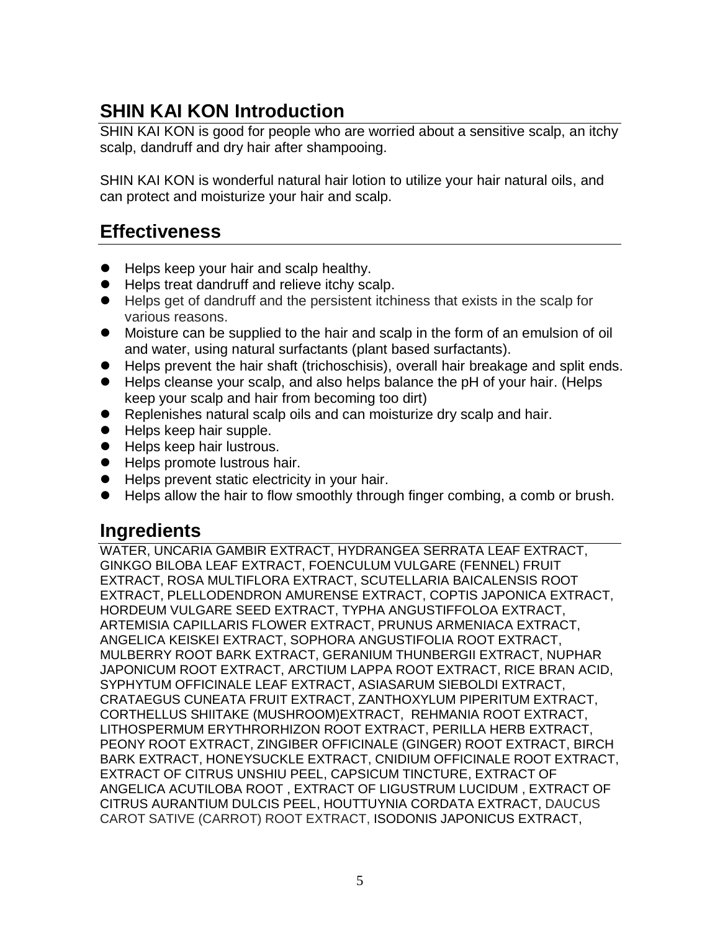# **SHIN KAI KON Introduction**

SHIN KAI KON is good for people who are worried about a sensitive scalp, an itchy scalp, dandruff and dry hair after shampooing.

SHIN KAI KON is wonderful natural hair lotion to utilize your hair natural oils, and can protect and moisturize your hair and scalp.

## **Effectiveness**

- Helps keep your hair and scalp healthy.
- **•** Helps treat dandruff and relieve itchy scalp.
- Helps get of dandruff and the persistent itchiness that exists in the scalp for various reasons.
- Moisture can be supplied to the hair and scalp in the form of an emulsion of oil and water, using natural surfactants (plant based surfactants).
- Helps prevent the hair shaft (trichoschisis), overall hair breakage and split ends.
- Helps cleanse your scalp, and also helps balance the pH of your hair. (Helps keep your scalp and hair from becoming too dirt)
- Replenishes natural scalp oils and can moisturize dry scalp and hair.
- Helps keep hair supple.
- **Helps keep hair lustrous.**
- Helps promote lustrous hair.
- Helps prevent static electricity in your hair.
- Helps allow the hair to flow smoothly through finger combing, a comb or brush.

# **Ingredients**

WATER, UNCARIA GAMBIR EXTRACT, HYDRANGEA SERRATA LEAF EXTRACT, GINKGO BILOBA LEAF EXTRACT, FOENCULUM VULGARE (FENNEL) FRUIT EXTRACT, ROSA MULTIFLORA EXTRACT, SCUTELLARIA BAICALENSIS ROOT EXTRACT, PLELLODENDRON AMURENSE EXTRACT, COPTIS JAPONICA EXTRACT, HORDEUM VULGARE SEED EXTRACT, TYPHA ANGUSTIFFOLOA EXTRACT, ARTEMISIA CAPILLARIS FLOWER EXTRACT, PRUNUS ARMENIACA EXTRACT, ANGELICA KEISKEI EXTRACT, SOPHORA ANGUSTIFOLIA ROOT EXTRACT, MULBERRY ROOT BARK EXTRACT, GERANIUM THUNBERGII EXTRACT, NUPHAR JAPONICUM ROOT EXTRACT, ARCTIUM LAPPA ROOT EXTRACT, RICE BRAN ACID, SYPHYTUM OFFICINALE LEAF EXTRACT, ASIASARUM SIEBOLDI EXTRACT, CRATAEGUS CUNEATA FRUIT EXTRACT, ZANTHOXYLUM PIPERITUM EXTRACT, CORTHELLUS SHIITAKE (MUSHROOM)EXTRACT, REHMANIA ROOT EXTRACT, LITHOSPERMUM ERYTHRORHIZON ROOT EXTRACT, PERILLA HERB EXTRACT, PEONY ROOT EXTRACT, ZINGIBER OFFICINALE (GINGER) ROOT EXTRACT, BIRCH BARK EXTRACT, HONEYSUCKLE EXTRACT, CNIDIUM OFFICINALE ROOT EXTRACT, EXTRACT OF CITRUS UNSHIU PEEL, CAPSICUM TINCTURE, EXTRACT OF ANGELICA ACUTILOBA ROOT , EXTRACT OF LIGUSTRUM LUCIDUM , EXTRACT OF CITRUS AURANTIUM DULCIS PEEL, HOUTTUYNIA CORDATA EXTRACT, DAUCUS CAROT SATIVE (CARROT) ROOT EXTRACT, ISODONIS JAPONICUS EXTRACT,